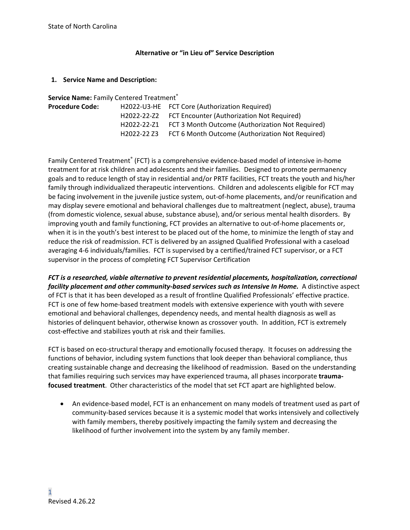### **Alternative or "in Lieu of" Service Description**

### **1. Service Name and Description:**

| Service Name: Family Centered Treatment® |  |                                                              |  |  |  |
|------------------------------------------|--|--------------------------------------------------------------|--|--|--|
| <b>Procedure Code:</b>                   |  | H2022-U3-HE FCT Core (Authorization Required)                |  |  |  |
|                                          |  | H2022-22-Z2 FCT Encounter (Authorization Not Required)       |  |  |  |
|                                          |  | H2022-22-Z1 FCT 3 Month Outcome (Authorization Not Required) |  |  |  |
|                                          |  | H2022-22 Z3 FCT 6 Month Outcome (Authorization Not Required) |  |  |  |

Family Centered Treatment<sup>®</sup> (FCT) is a comprehensive evidence-based model of intensive in-home treatment for at risk children and adolescents and their families. Designed to promote permanency goals and to reduce length of stay in residential and/or PRTF facilities, FCT treats the youth and his/her family through individualized therapeutic interventions. Children and adolescents eligible for FCT may be facing involvement in the juvenile justice system, out-of-home placements, and/or reunification and may display severe emotional and behavioral challenges due to maltreatment (neglect, abuse), trauma (from domestic violence, sexual abuse, substance abuse), and/or serious mental health disorders. By improving youth and family functioning, FCT provides an alternative to out-of-home placements or, when it is in the youth's best interest to be placed out of the home, to minimize the length of stay and reduce the risk of readmission. FCT is delivered by an assigned Qualified Professional with a caseload averaging 4-6 individuals/families. FCT is supervised by a certified/trained FCT supervisor, or a FCT supervisor in the process of completing FCT Supervisor Certification

*FCT is a researched, viable alternative to prevent residential placements, hospitalization, correctional facility placement and other community-based services such as Intensive In Home.* A distinctive aspect of FCT is that it has been developed as a result of frontline Qualified Professionals' effective practice. FCT is one of few home-based treatment models with extensive experience with youth with severe emotional and behavioral challenges, dependency needs, and mental health diagnosis as well as histories of delinquent behavior, otherwise known as crossover youth. In addition, FCT is extremely cost-effective and stabilizes youth at risk and their families.

FCT is based on eco-structural therapy and emotionally focused therapy. It focuses on addressing the functions of behavior, including system functions that look deeper than behavioral compliance, thus creating sustainable change and decreasing the likelihood of readmission. Based on the understanding that families requiring such services may have experienced trauma, all phases incorporate **traumafocused treatment**. Other characteristics of the model that set FCT apart are highlighted below.

• An evidence-based model, FCT is an enhancement on many models of treatment used as part of community-based services because it is a systemic model that works intensively and collectively with family members, thereby positively impacting the family system and decreasing the likelihood of further involvement into the system by any family member.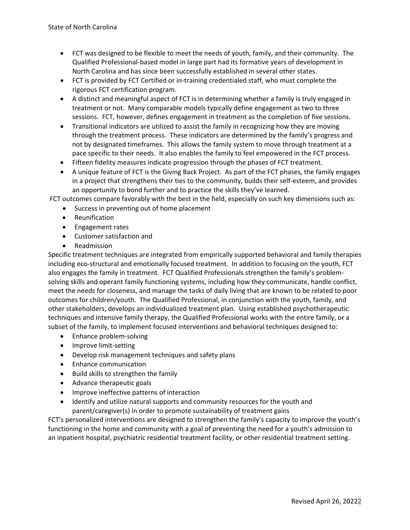- FCT was designed to be flexible to meet the needs of youth, family, and their community. The Qualified Professional-based model in large part had its formative years of development in North Carolina and has since been successfully established in several other states.
- FCT is provided by FCT Certified or in-training credentialed staff, who must complete the rigorous FCT certification program.
- A distinct and meaningful aspect of FCT is in determining whether a family is truly engaged in treatment or not. Many comparable models typically define engagement as two to three sessions. FCT, however, defines engagement in treatment as the completion of five sessions.
- Transitional indicators are utilized to assist the family in recognizing how they are moving through the treatment process. These indicators are determined by the family's progress and not by designated timeframes. This allows the family system to move through treatment at a pace specific to their needs. It also enables the family to feel empowered in the FCT process.
- Fifteen fidelity measures indicate progression through the phases of FCT treatment.
- A unique feature of FCT is the Giving Back Project. As part of the FCT phases, the family engages in a project that strengthens their ties to the community, builds their self-esteem, and provides an opportunity to bond further and to practice the skills they've learned.

FCT outcomes compare favorably with the best in the field, especially on such key dimensions such as:

- Success in preventing out of home placement
- Reunification
- Engagement rates
- Customer satisfaction and
- Readmission

Specific treatment techniques are integrated from empirically supported behavioral and family therapies including eco-structural and emotionally focused treatment. In addition to focusing on the youth, FCT also engages the family in treatment. FCT Qualified Professionals strengthen the family's problemsolving skills and operant family functioning systems, including how they communicate, handle conflict, meet the needs for closeness, and manage the tasks of daily living that are known to be related to poor outcomes for children/youth. The Qualified Professional, in conjunction with the youth, family, and other stakeholders, develops an individualized treatment plan. Using established psychotherapeutic techniques and intensive family therapy, the Qualified Professional works with the entire family, or a subset of the family, to implement focused interventions and behavioral techniques designed to:

- Enhance problem-solving
- Improve limit-setting
- Develop risk management techniques and safety plans
- Enhance communication
- Build skills to strengthen the family
- Advance therapeutic goals
- Improve ineffective patterns of interaction
- Identify and utilize natural supports and community resources for the youth and parent/caregiver(s) in order to promote sustainability of treatment gains

FCT's personalized interventions are designed to strengthen the family's capacity to improve the youth's functioning in the home and community with a goal of preventing the need for a youth's admission to an inpatient hospital, psychiatric residential treatment facility, or other residential treatment setting.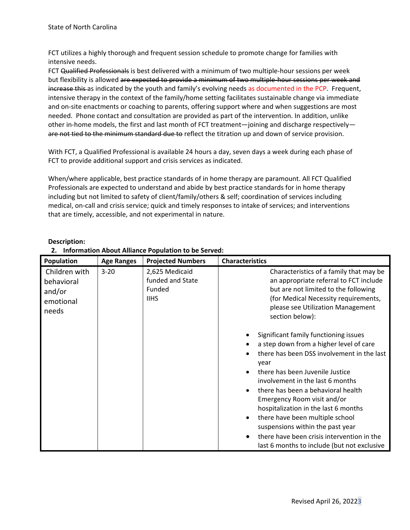FCT utilizes a highly thorough and frequent session schedule to promote change for families with intensive needs.

FCT Qualified Professionals is best delivered with a minimum of two multiple-hour sessions per week but flexibility is allowed are expected to provide a minimum of two multiple-hour sessions per week and increase this as indicated by the youth and family's evolving needs as documented in the PCP. Frequent, intensive therapy in the context of the family/home setting facilitates sustainable change via immediate and on-site enactments or coaching to parents, offering support where and when suggestions are most needed. Phone contact and consultation are provided as part of the intervention. In addition, unlike other in-home models, the first and last month of FCT treatment—joining and discharge respectively are not tied to the minimum standard due to reflect the titration up and down of service provision.

With FCT, a Qualified Professional is available 24 hours a day, seven days a week during each phase of FCT to provide additional support and crisis services as indicated.

When/where applicable, best practice standards of in home therapy are paramount. All FCT Qualified Professionals are expected to understand and abide by best practice standards for in home therapy including but not limited to safety of client/family/others & self; coordination of services including medical, on-call and crisis service; quick and timely responses to intake of services; and interventions that are timely, accessible, and not experimental in nature.

| Population                                                  | <b>Age Ranges</b> | <b>Projected Numbers</b>                                    | <b>Characteristics</b>                                                                                                                                                                                                                                                                                                                                                                                                                                                                                                                                                                                                         |
|-------------------------------------------------------------|-------------------|-------------------------------------------------------------|--------------------------------------------------------------------------------------------------------------------------------------------------------------------------------------------------------------------------------------------------------------------------------------------------------------------------------------------------------------------------------------------------------------------------------------------------------------------------------------------------------------------------------------------------------------------------------------------------------------------------------|
| Children with<br>behavioral<br>and/or<br>emotional<br>needs | $3 - 20$          | 2,625 Medicaid<br>funded and State<br>Funded<br><b>IIHS</b> | Characteristics of a family that may be<br>an appropriate referral to FCT include<br>but are not limited to the following<br>(for Medical Necessity requirements,<br>please see Utilization Management<br>section below):<br>Significant family functioning issues<br>a step down from a higher level of care<br>there has been DSS involvement in the last<br>year<br>there has been Juvenile Justice<br>involvement in the last 6 months<br>there has been a behavioral health<br>Emergency Room visit and/or<br>hospitalization in the last 6 months<br>there have been multiple school<br>suspensions within the past year |
|                                                             |                   |                                                             | there have been crisis intervention in the<br>last 6 months to include (but not exclusive                                                                                                                                                                                                                                                                                                                                                                                                                                                                                                                                      |

## **Description:**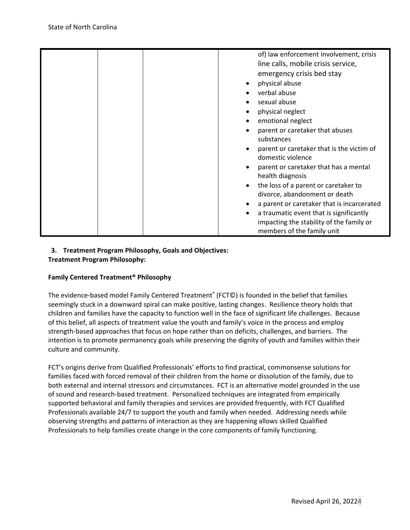|  | of) law enforcement involvement, crisis                        |
|--|----------------------------------------------------------------|
|  | line calls, mobile crisis service,                             |
|  | emergency crisis bed stay                                      |
|  | physical abuse                                                 |
|  | verbal abuse                                                   |
|  | sexual abuse                                                   |
|  | physical neglect                                               |
|  | emotional neglect                                              |
|  | parent or caretaker that abuses                                |
|  | substances                                                     |
|  | parent or caretaker that is the victim of<br>domestic violence |
|  | parent or caretaker that has a mental<br>health diagnosis      |
|  | the loss of a parent or caretaker to                           |
|  | divorce, abandonment or death                                  |
|  | a parent or caretaker that is incarcerated                     |
|  | a traumatic event that is significantly<br>$\bullet$           |
|  | impacting the stability of the family or                       |
|  | members of the family unit                                     |

## **3. Treatment Program Philosophy, Goals and Objectives: Treatment Program Philosophy:**

## **Family Centered Treatment® Philosophy**

The evidence-based model Family Centered Treatment® (FCT©) is founded in the belief that families seemingly stuck in a downward spiral can make positive, lasting changes. Resilience theory holds that children and families have the capacity to function well in the face of significant life challenges. Because of this belief, all aspects of treatment value the youth and family's voice in the process and employ strength-based approaches that focus on hope rather than on deficits, challenges, and barriers. The intention is to promote permanency goals while preserving the dignity of youth and families within their culture and community.

FCT's origins derive from Qualified Professionals' efforts to find practical, commonsense solutions for families faced with forced removal of their children from the home or dissolution of the family, due to both external and internal stressors and circumstances. FCT is an alternative model grounded in the use of sound and research-based treatment. Personalized techniques are integrated from empirically supported behavioral and family therapies and services are provided frequently, with FCT Qualified Professionals available 24/7 to support the youth and family when needed. Addressing needs while observing strengths and patterns of interaction as they are happening allows skilled Qualified Professionals to help families create change in the core components of family functioning.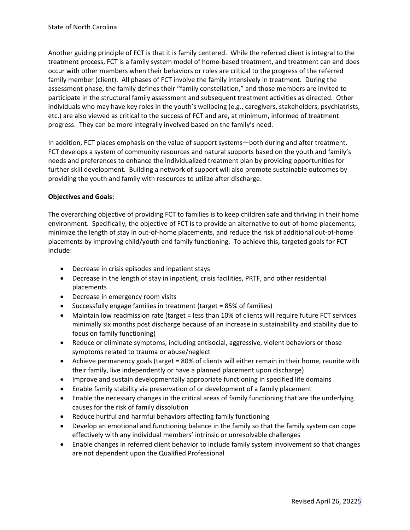Another guiding principle of FCT is that it is family centered. While the referred client is integral to the treatment process, FCT is a family system model of home-based treatment, and treatment can and does occur with other members when their behaviors or roles are critical to the progress of the referred family member (client). All phases of FCT involve the family intensively in treatment. During the assessment phase, the family defines their "family constellation," and those members are invited to participate in the structural family assessment and subsequent treatment activities as directed. Other individuals who may have key roles in the youth's wellbeing (e.g., caregivers, stakeholders, psychiatrists, etc.) are also viewed as critical to the success of FCT and are, at minimum, informed of treatment progress. They can be more integrally involved based on the family's need.

In addition, FCT places emphasis on the value of support systems—both during and after treatment. FCT develops a system of community resources and natural supports based on the youth and family's needs and preferences to enhance the individualized treatment plan by providing opportunities for further skill development. Building a network of support will also promote sustainable outcomes by providing the youth and family with resources to utilize after discharge.

## **Objectives and Goals:**

The overarching objective of providing FCT to families is to keep children safe and thriving in their home environment. Specifically, the objective of FCT is to provide an alternative to out-of-home placements, minimize the length of stay in out-of-home placements, and reduce the risk of additional out-of-home placements by improving child/youth and family functioning. To achieve this, targeted goals for FCT include:

- Decrease in crisis episodes and inpatient stays
- Decrease in the length of stay in inpatient, crisis facilities, PRTF, and other residential placements
- Decrease in emergency room visits
- Successfully engage families in treatment (target = 85% of families)
- Maintain low readmission rate (target = less than 10% of clients will require future FCT services minimally six months post discharge because of an increase in sustainability and stability due to focus on family functioning)
- Reduce or eliminate symptoms, including antisocial, aggressive, violent behaviors or those symptoms related to trauma or abuse/neglect
- Achieve permanency goals (target = 80% of clients will either remain in their home, reunite with their family, live independently or have a planned placement upon discharge)
- Improve and sustain developmentally appropriate functioning in specified life domains
- Enable family stability via preservation of or development of a family placement
- Enable the necessary changes in the critical areas of family functioning that are the underlying causes for the risk of family dissolution
- Reduce hurtful and harmful behaviors affecting family functioning
- Develop an emotional and functioning balance in the family so that the family system can cope effectively with any individual members' intrinsic or unresolvable challenges
- Enable changes in referred client behavior to include family system involvement so that changes are not dependent upon the Qualified Professional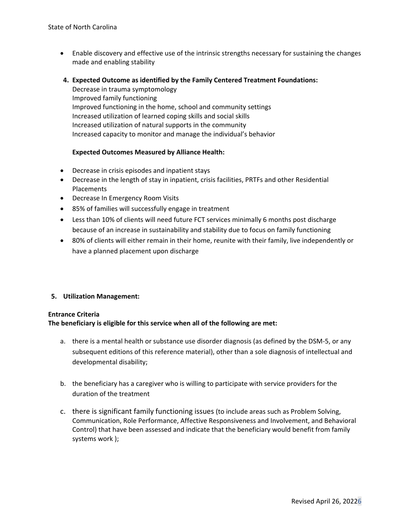- Enable discovery and effective use of the intrinsic strengths necessary for sustaining the changes made and enabling stability
- **4. Expected Outcome as identified by the Family Centered Treatment Foundations:**

Decrease in trauma symptomology Improved family functioning Improved functioning in the home, school and community settings Increased utilization of learned coping skills and social skills Increased utilization of natural supports in the community Increased capacity to monitor and manage the individual's behavior

### **Expected Outcomes Measured by Alliance Health:**

- Decrease in crisis episodes and inpatient stays
- Decrease in the length of stay in inpatient, crisis facilities, PRTFs and other Residential Placements
- Decrease In Emergency Room Visits
- 85% of families will successfully engage in treatment
- Less than 10% of clients will need future FCT services minimally 6 months post discharge because of an increase in sustainability and stability due to focus on family functioning
- 80% of clients will either remain in their home, reunite with their family, live independently or have a planned placement upon discharge

### **5. Utilization Management:**

### **Entrance Criteria**

### **The beneficiary is eligible for this service when all of the following are met:**

- a. there is a mental health or substance use disorder diagnosis (as defined by the DSM-5, or any subsequent editions of this reference material), other than a sole diagnosis of intellectual and developmental disability;
- b. the beneficiary has a caregiver who is willing to participate with service providers for the duration of the treatment
- c. there is significant family functioning issues (to include areas such as Problem Solving, Communication, Role Performance, Affective Responsiveness and Involvement, and Behavioral Control) that have been assessed and indicate that the beneficiary would benefit from family systems work );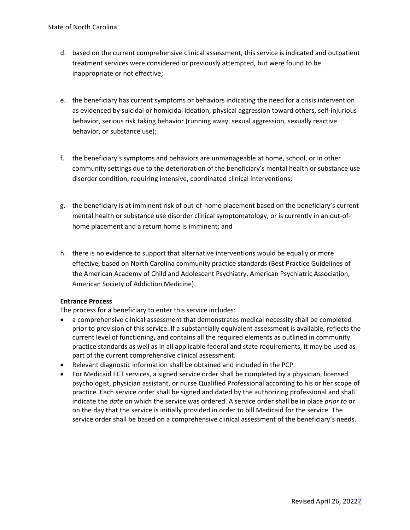- d. based on the current comprehensive clinical assessment, this service is indicated and outpatient treatment services were considered or previously attempted, but were found to be inappropriate or not effective;
- e. the beneficiary has current symptoms or behaviors indicating the need for a crisis intervention as evidenced by suicidal or homicidal ideation, physical aggression toward others, self-injurious behavior, serious risk taking behavior (running away, sexual aggression, sexually reactive behavior, or substance use);
- f. the beneficiary's symptoms and behaviors are unmanageable at home, school, or in other community settings due to the deterioration of the beneficiary's mental health or substance use disorder condition, requiring intensive, coordinated clinical interventions;
- g. the beneficiary is at imminent risk of out-of-home placement based on the beneficiary's current mental health or substance use disorder clinical symptomatology, or is currently in an out-ofhome placement and a return home is imminent; and
- h. there is no evidence to support that alternative interventions would be equally or more effective, based on North Carolina community practice standards (Best Practice Guidelines of the American Academy of Child and Adolescent Psychiatry, American Psychiatric Association, American Society of Addiction Medicine).

### **Entrance Process**

The process for a beneficiary to enter this service includes:

- a comprehensive clinical assessment that demonstrates medical necessity shall be completed prior to provision of this service. If a substantially equivalent assessment is available, reflects the current level of functioning**,** and contains all the required elements as outlined in community practice standards as well as in all applicable federal and state requirements, it may be used as part of the current comprehensive clinical assessment.
- Relevant diagnostic information shall be obtained and included in the PCP.
- For Medicaid FCT services, a signed service order shall be completed by a physician, licensed psychologist, physician assistant, or nurse Qualified Professional according to his or her scope of practice. Each service order shall be signed and dated by the authorizing professional and shall indicate the *date* on which the service was ordered. A service order shall be in place *prior to* or on the day that the service is initially provided in order to bill Medicaid for the service. The service order shall be based on a comprehensive clinical assessment of the beneficiary's needs.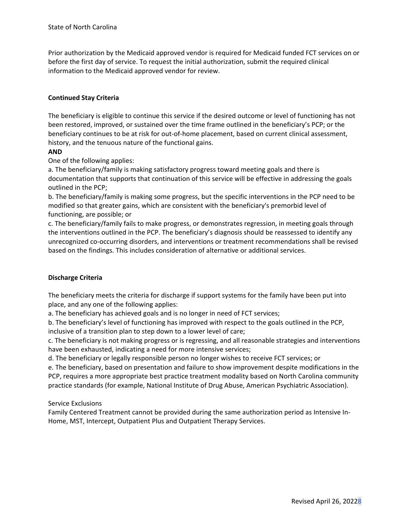Prior authorization by the Medicaid approved vendor is required for Medicaid funded FCT services on or before the first day of service. To request the initial authorization, submit the required clinical information to the Medicaid approved vendor for review.

## **Continued Stay Criteria**

The beneficiary is eligible to continue this service if the desired outcome or level of functioning has not been restored, improved, or sustained over the time frame outlined in the beneficiary's PCP; or the beneficiary continues to be at risk for out-of-home placement, based on current clinical assessment, history, and the tenuous nature of the functional gains.

## **AND**

One of the following applies:

a. The beneficiary/family is making satisfactory progress toward meeting goals and there is documentation that supports that continuation of this service will be effective in addressing the goals outlined in the PCP;

b. The beneficiary/family is making some progress, but the specific interventions in the PCP need to be modified so that greater gains, which are consistent with the beneficiary's premorbid level of functioning, are possible; or

c. The beneficiary/family fails to make progress, or demonstrates regression, in meeting goals through the interventions outlined in the PCP. The beneficiary's diagnosis should be reassessed to identify any unrecognized co-occurring disorders, and interventions or treatment recommendations shall be revised based on the findings. This includes consideration of alternative or additional services.

## **Discharge Criteria**

The beneficiary meets the criteria for discharge if support systems for the family have been put into place, and any one of the following applies:

a. The beneficiary has achieved goals and is no longer in need of FCT services;

b. The beneficiary's level of functioning has improved with respect to the goals outlined in the PCP, inclusive of a transition plan to step down to a lower level of care;

c. The beneficiary is not making progress or is regressing, and all reasonable strategies and interventions have been exhausted, indicating a need for more intensive services;

d. The beneficiary or legally responsible person no longer wishes to receive FCT services; or

e. The beneficiary, based on presentation and failure to show improvement despite modifications in the PCP, requires a more appropriate best practice treatment modality based on North Carolina community practice standards (for example, National Institute of Drug Abuse, American Psychiatric Association).

### Service Exclusions

Family Centered Treatment cannot be provided during the same authorization period as Intensive In-Home, MST, Intercept, Outpatient Plus and Outpatient Therapy Services.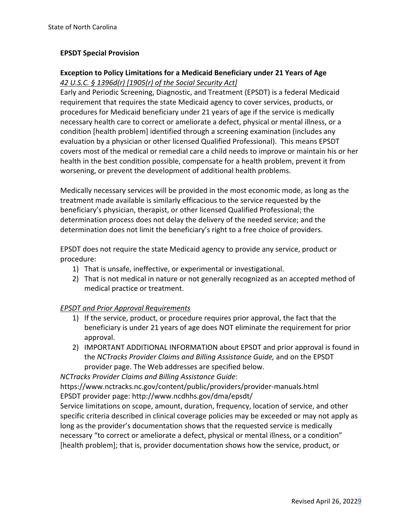## **EPSDT Special Provision**

# **Exception to Policy Limitations for a Medicaid Beneficiary under 21 Years of Age**  *42 U.S.C. § 1396d(r) [1905(r) of the Social Security Act]*

Early and Periodic Screening, Diagnostic, and Treatment (EPSDT) is a federal Medicaid requirement that requires the state Medicaid agency to cover services, products, or procedures for Medicaid beneficiary under 21 years of age if the service is medically necessary health care to correct or ameliorate a defect, physical or mental illness, or a condition [health problem] identified through a screening examination (includes any evaluation by a physician or other licensed Qualified Professional). This means EPSDT covers most of the medical or remedial care a child needs to improve or maintain his or her health in the best condition possible, compensate for a health problem, prevent it from worsening, or prevent the development of additional health problems.

Medically necessary services will be provided in the most economic mode, as long as the treatment made available is similarly efficacious to the service requested by the beneficiary's physician, therapist, or other licensed Qualified Professional; the determination process does not delay the delivery of the needed service; and the determination does not limit the beneficiary's right to a free choice of providers.

EPSDT does not require the state Medicaid agency to provide any service, product or procedure:

- 1) That is unsafe, ineffective, or experimental or investigational.
- 2) That is not medical in nature or not generally recognized as an accepted method of medical practice or treatment.

## *EPSDT and Prior Approval Requirements*

- 1) If the service, product, or procedure requires prior approval, the fact that the beneficiary is under 21 years of age does NOT eliminate the requirement for prior approval.
- 2) IMPORTANT ADDITIONAL INFORMATION about EPSDT and prior approval is found in the *NCTracks Provider Claims and Billing Assistance Guide,* and on the EPSDT provider page. The Web addresses are specified below.

*NCTracks Provider Claims and Billing Assistance Guide*:

https://www.nctracks.nc.gov/content/public/providers/provider-manuals.html EPSDT provider page: http://www.ncdhhs.gov/dma/epsdt/

Service limitations on scope, amount, duration, frequency, location of service, and other specific criteria described in clinical coverage policies may be exceeded or may not apply as long as the provider's documentation shows that the requested service is medically necessary "to correct or ameliorate a defect, physical or mental illness, or a condition" [health problem]; that is, provider documentation shows how the service, product, or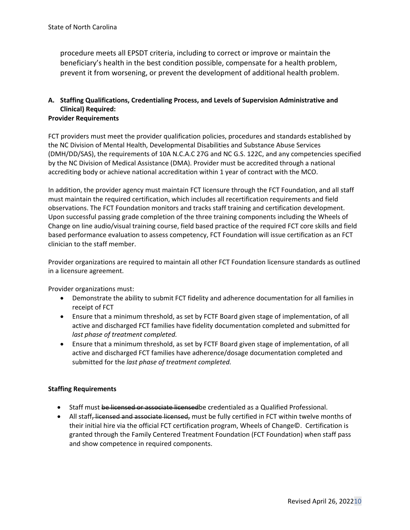procedure meets all EPSDT criteria, including to correct or improve or maintain the beneficiary's health in the best condition possible, compensate for a health problem, prevent it from worsening, or prevent the development of additional health problem.

# **A. Staffing Qualifications, Credentialing Process, and Levels of Supervision Administrative and Clinical) Required:**

## **Provider Requirements**

FCT providers must meet the provider qualification policies, procedures and standards established by the NC Division of Mental Health, Developmental Disabilities and Substance Abuse Services (DMH/DD/SAS), the requirements of 10A N.C.A.C 27G and NC G.S. 122C, and any competencies specified by the NC Division of Medical Assistance (DMA). Provider must be accredited through a national accrediting body or achieve national accreditation within 1 year of contract with the MCO.

In addition, the provider agency must maintain FCT licensure through the FCT Foundation, and all staff must maintain the required certification, which includes all recertification requirements and field observations. The FCT Foundation monitors and tracks staff training and certification development. Upon successful passing grade completion of the three training components including the Wheels of Change on line audio/visual training course, field based practice of the required FCT core skills and field based performance evaluation to assess competency, FCT Foundation will issue certification as an FCT clinician to the staff member.

Provider organizations are required to maintain all other FCT Foundation licensure standards as outlined in a licensure agreement.

Provider organizations must:

- Demonstrate the ability to submit FCT fidelity and adherence documentation for all families in receipt of FCT
- Ensure that a minimum threshold, as set by FCTF Board given stage of implementation, of all active and discharged FCT families have fidelity documentation completed and submitted for *last phase of treatment completed.*
- Ensure that a minimum threshold, as set by FCTF Board given stage of implementation, of all active and discharged FCT families have adherence/dosage documentation completed and submitted for the *last phase of treatment completed.*

## **Staffing Requirements**

- Staff must be licensed or associate licensedbe credentialed as a Qualified Professional.
- All staff, licensed and associate licensed, must be fully certified in FCT within twelve months of their initial hire via the official FCT certification program, Wheels of Change©. Certification is granted through the Family Centered Treatment Foundation (FCT Foundation) when staff pass and show competence in required components.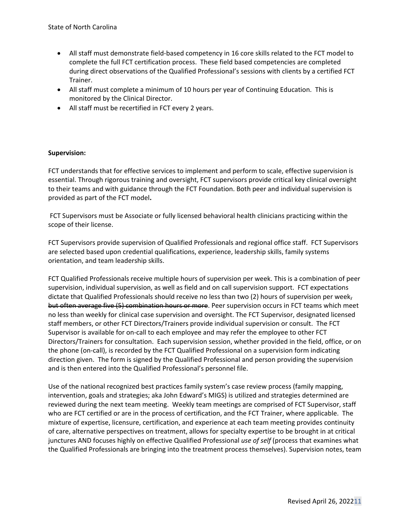- All staff must demonstrate field-based competency in 16 core skills related to the FCT model to complete the full FCT certification process. These field based competencies are completed during direct observations of the Qualified Professional's sessions with clients by a certified FCT Trainer.
- All staff must complete a minimum of 10 hours per year of Continuing Education. This is monitored by the Clinical Director.
- All staff must be recertified in FCT every 2 years.

## **Supervision:**

FCT understands that for effective services to implement and perform to scale, effective supervision is essential. Through rigorous training and oversight, FCT supervisors provide critical key clinical oversight to their teams and with guidance through the FCT Foundation. Both peer and individual supervision is provided as part of the FCT model**.** 

FCT Supervisors must be Associate or fully licensed behavioral health clinicians practicing within the scope of their license.

FCT Supervisors provide supervision of Qualified Professionals and regional office staff. FCT Supervisors are selected based upon credential qualifications, experience, leadership skills, family systems orientation, and team leadership skills.

FCT Qualified Professionals receive multiple hours of supervision per week. This is a combination of peer supervision, individual supervision, as well as field and on call supervision support. FCT expectations dictate that Qualified Professionals should receive no less than two (2) hours of supervision per week, but often average five (5) combination hours or more. Peer supervision occurs in FCT teams which meet no less than weekly for clinical case supervision and oversight. The FCT Supervisor, designated licensed staff members, or other FCT Directors/Trainers provide individual supervision or consult. The FCT Supervisor is available for on-call to each employee and may refer the employee to other FCT Directors/Trainers for consultation. Each supervision session, whether provided in the field, office, or on the phone (on-call), is recorded by the FCT Qualified Professional on a supervision form indicating direction given. The form is signed by the Qualified Professional and person providing the supervision and is then entered into the Qualified Professional's personnel file.

Use of the national recognized best practices family system's case review process (family mapping, intervention, goals and strategies; aka John Edward's MIGS) is utilized and strategies determined are reviewed during the next team meeting. Weekly team meetings are comprised of FCT Supervisor, staff who are FCT certified or are in the process of certification, and the FCT Trainer, where applicable. The mixture of expertise, licensure, certification, and experience at each team meeting provides continuity of care, alternative perspectives on treatment, allows for specialty expertise to be brought in at critical junctures AND focuses highly on effective Qualified Professional *use of self* (process that examines what the Qualified Professionals are bringing into the treatment process themselves). Supervision notes, team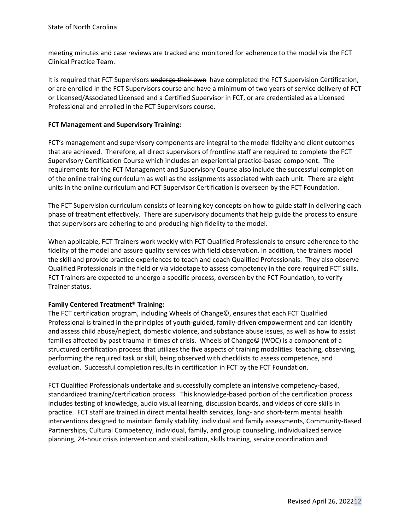meeting minutes and case reviews are tracked and monitored for adherence to the model via the FCT Clinical Practice Team.

It is required that FCT Supervisors undergo their own have completed the FCT Supervision Certification, or are enrolled in the FCT Supervisors course and have a minimum of two years of service delivery of FCT or Licensed/Associated Licensed and a Certified Supervisor in FCT, or are credentialed as a Licensed Professional and enrolled in the FCT Supervisors course.

### **FCT Management and Supervisory Training:**

FCT's management and supervisory components are integral to the model fidelity and client outcomes that are achieved. Therefore, all direct supervisors of frontline staff are required to complete the FCT Supervisory Certification Course which includes an experiential practice-based component. The requirements for the FCT Management and Supervisory Course also include the successful completion of the online training curriculum as well as the assignments associated with each unit. There are eight units in the online curriculum and FCT Supervisor Certification is overseen by the FCT Foundation.

The FCT Supervision curriculum consists of learning key concepts on how to guide staff in delivering each phase of treatment effectively. There are supervisory documents that help guide the process to ensure that supervisors are adhering to and producing high fidelity to the model.

When applicable, FCT Trainers work weekly with FCT Qualified Professionals to ensure adherence to the fidelity of the model and assure quality services with field observation. In addition, the trainers model the skill and provide practice experiences to teach and coach Qualified Professionals. They also observe Qualified Professionals in the field or via videotape to assess competency in the core required FCT skills. FCT Trainers are expected to undergo a specific process, overseen by the FCT Foundation, to verify Trainer status.

## **Family Centered Treatment® Training:**

The FCT certification program, including Wheels of Change©, ensures that each FCT Qualified Professional is trained in the principles of youth-guided, family-driven empowerment and can identify and assess child abuse/neglect, domestic violence, and substance abuse issues, as well as how to assist families affected by past trauma in times of crisis. Wheels of Change© (WOC) is a component of a structured certification process that utilizes the five aspects of training modalities: teaching, observing, performing the required task or skill, being observed with checklists to assess competence, and evaluation. Successful completion results in certification in FCT by the FCT Foundation.

FCT Qualified Professionals undertake and successfully complete an intensive competency-based, standardized training/certification process. This knowledge-based portion of the certification process includes testing of knowledge, audio visual learning, discussion boards, and videos of core skills in practice. FCT staff are trained in direct mental health services, long- and short-term mental health interventions designed to maintain family stability, individual and family assessments, Community-Based Partnerships, Cultural Competency, individual, family, and group counseling, individualized service planning, 24-hour crisis intervention and stabilization, skills training, service coordination and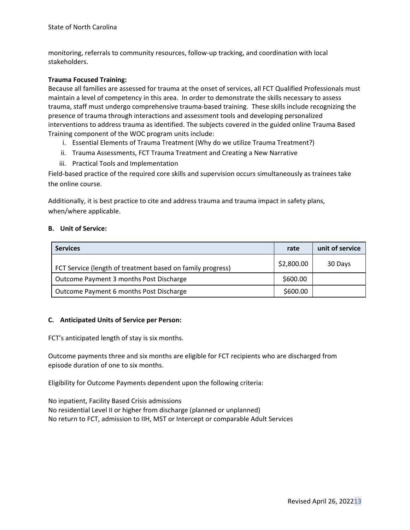monitoring, referrals to community resources, follow-up tracking, and coordination with local stakeholders.

### **Trauma Focused Training:**

Because all families are assessed for trauma at the onset of services, all FCT Qualified Professionals must maintain a level of competency in this area. In order to demonstrate the skills necessary to assess trauma, staff must undergo comprehensive trauma-based training. These skills include recognizing the presence of trauma through interactions and assessment tools and developing personalized interventions to address trauma as identified. The subjects covered in the guided online Trauma Based Training component of the WOC program units include:

- i. Essential Elements of Trauma Treatment (Why do we utilize Trauma Treatment?)
- ii. Trauma Assessments, FCT Trauma Treatment and Creating a New Narrative
- iii. Practical Tools and Implementation

Field-based practice of the required core skills and supervision occurs simultaneously as trainees take the online course.

Additionally, it is best practice to cite and address trauma and trauma impact in safety plans, when/where applicable.

### **B. Unit of Service:**

| <b>Services</b>                                            | rate       | unit of service |
|------------------------------------------------------------|------------|-----------------|
| FCT Service (length of treatment based on family progress) | \$2,800.00 | 30 Days         |
| Outcome Payment 3 months Post Discharge                    | \$600.00   |                 |
| Outcome Payment 6 months Post Discharge                    | \$600.00   |                 |

### **C. Anticipated Units of Service per Person:**

FCT's anticipated length of stay is six months.

Outcome payments three and six months are eligible for FCT recipients who are discharged from episode duration of one to six months.

Eligibility for Outcome Payments dependent upon the following criteria:

No inpatient, Facility Based Crisis admissions No residential Level II or higher from discharge (planned or unplanned) No return to FCT, admission to IIH, MST or Intercept or comparable Adult Services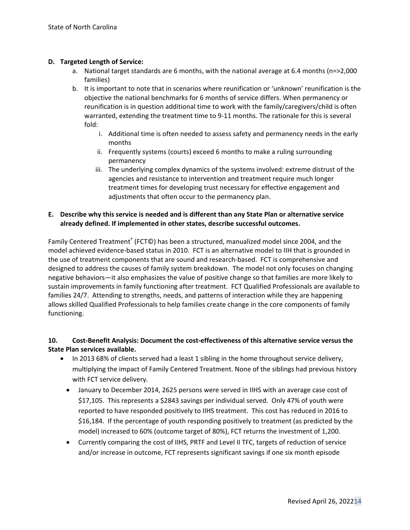### **D. Targeted Length of Service:**

- a. National target standards are 6 months, with the national average at 6.4 months (n=>2,000 families)
- b. It is important to note that in scenarios where reunification or 'unknown' reunification is the objective the national benchmarks for 6 months of service differs. When permanency or reunification is in question additional time to work with the family/caregivers/child is often warranted, extending the treatment time to 9-11 months. The rationale for this is several fold:
	- i. Additional time is often needed to assess safety and permanency needs in the early months
	- ii. Frequently systems (courts) exceed 6 months to make a ruling surrounding permanency
	- iii. The underlying complex dynamics of the systems involved: extreme distrust of the agencies and resistance to intervention and treatment require much longer treatment times for developing trust necessary for effective engagement and adjustments that often occur to the permanency plan.

### **E. Describe why this service is needed and is different than any State Plan or alternative service already defined. If implemented in other states, describe successful outcomes.**

Family Centered Treatment<sup>®</sup> (FCT©) has been a structured, manualized model since 2004, and the model achieved evidence-based status in 2010. FCT is an alternative model to IIH that is grounded in the use of treatment components that are sound and research-based. FCT is comprehensive and designed to address the causes of family system breakdown. The model not only focuses on changing negative behaviors—it also emphasizes the value of positive change so that families are more likely to sustain improvements in family functioning after treatment. FCT Qualified Professionals are available to families 24/7. Attending to strengths, needs, and patterns of interaction while they are happening allows skilled Qualified Professionals to help families create change in the core components of family functioning.

## **10. Cost-Benefit Analysis: Document the cost-effectiveness of this alternative service versus the State Plan services available.**

- In 2013 68% of clients served had a least 1 sibling in the home throughout service delivery, multiplying the impact of Family Centered Treatment. None of the siblings had previous history with FCT service delivery.
	- January to December 2014, 2625 persons were served in IIHS with an average case cost of \$17,105. This represents a \$2843 savings per individual served. Only 47% of youth were reported to have responded positively to IIHS treatment. This cost has reduced in 2016 to \$16,184. If the percentage of youth responding positively to treatment (as predicted by the model) increased to 60% (outcome target of 80%), FCT returns the investment of 1,200.
	- Currently comparing the cost of IIHS, PRTF and Level II TFC, targets of reduction of service and/or increase in outcome, FCT represents significant savings if one six month episode